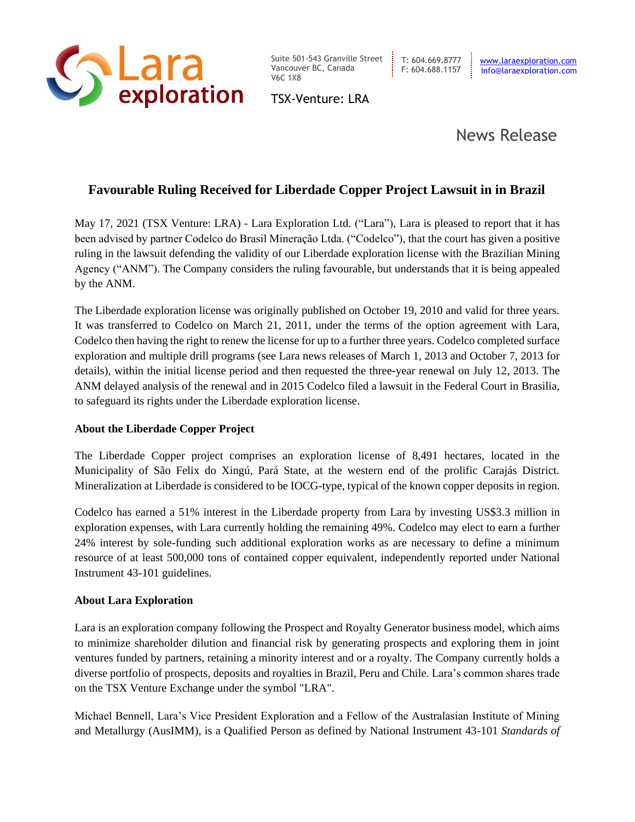

Suite 501-543 Granville Street Vancouver BC, Canada V6C 1X8

TSX-Venture: LRA

## News Release

## **Favourable Ruling Received for Liberdade Copper Project Lawsuit in in Brazil**

May 17, 2021 (TSX Venture: LRA) - Lara Exploration Ltd. ("Lara"), Lara is pleased to report that it has been advised by partner Codelco do Brasil Mineração Ltda. ("Codelco"), that the court has given a positive ruling in the lawsuit defending the validity of our Liberdade exploration license with the Brazilian Mining Agency ("ANM"). The Company considers the ruling favourable, but understands that it is being appealed by the ANM.

The Liberdade exploration license was originally published on October 19, 2010 and valid for three years. It was transferred to Codelco on March 21, 2011, under the terms of the option agreement with Lara, Codelco then having the right to renew the license for up to a further three years. Codelco completed surface exploration and multiple drill programs (see Lara news releases of March 1, 2013 and October 7, 2013 for details), within the initial license period and then requested the three-year renewal on July 12, 2013. The ANM delayed analysis of the renewal and in 2015 Codelco filed a lawsuit in the Federal Court in Brasilia, to safeguard its rights under the Liberdade exploration license.

## **About the Liberdade Copper Project**

The Liberdade Copper project comprises an exploration license of 8,491 hectares, located in the Municipality of São Felix do Xingú, Pará State, at the western end of the prolific Carajás District. Mineralization at Liberdade is considered to be IOCG-type, typical of the known copper deposits in region.

Codelco has earned a 51% interest in the Liberdade property from Lara by investing US\$3.3 million in exploration expenses, with Lara currently holding the remaining 49%. Codelco may elect to earn a further 24% interest by sole-funding such additional exploration works as are necessary to define a minimum resource of at least 500,000 tons of contained copper equivalent, independently reported under National Instrument 43-101 guidelines.

## **About Lara Exploration**

Lara is an exploration company following the Prospect and Royalty Generator business model, which aims to minimize shareholder dilution and financial risk by generating prospects and exploring them in joint ventures funded by partners, retaining a minority interest and or a royalty. The Company currently holds a diverse portfolio of prospects, deposits and royalties in Brazil, Peru and Chile. Lara's common shares trade on the TSX Venture Exchange under the symbol "LRA".

Michael Bennell, Lara's Vice President Exploration and a Fellow of the Australasian Institute of Mining and Metallurgy (AusIMM), is a Qualified Person as defined by National Instrument 43-101 *Standards of*